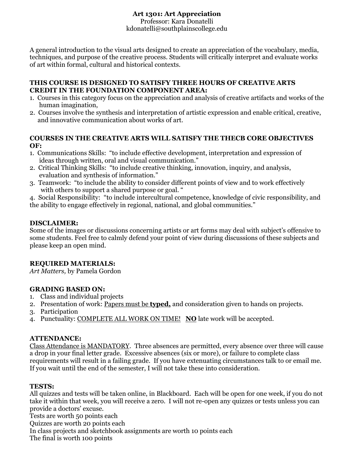# **Art 1301: Art Appreciation**

Professor: Kara Donatelli kdonatelli@southplainscollege.edu

A general introduction to the visual arts designed to create an appreciation of the vocabulary, media, techniques, and purpose of the creative process. Students will critically interpret and evaluate works of art within formal, cultural and historical contexts.

#### **THIS COURSE IS DESIGNED TO SATISFY THREE HOURS OF CREATIVE ARTS CREDIT IN THE FOUNDATION COMPONENT AREA:**

- 1. Courses in this category focus on the appreciation and analysis of creative artifacts and works of the human imagination,
- 2. Courses involve the synthesis and interpretation of artistic expression and enable critical, creative, and innovative communication about works of art.

#### **COURSES IN THE CREATIVE ARTS WILL SATISFY THE THECB CORE OBJECTIVES OF:**

- 1. Communications Skills: "to include effective development, interpretation and expression of ideas through written, oral and visual communication."
- 2. Critical Thinking Skills: "to include creative thinking, innovation, inquiry, and analysis, evaluation and synthesis of information."
- 3. Teamwork: "to include the ability to consider different points of view and to work effectively with others to support a shared purpose or goal. "

4. Social Responsibility:"to include intercultural competence, knowledge of civic responsibility, and the ability to engage effectively in regional, national, and global communities."

### **DISCLAIMER:**

Some of the images or discussions concerning artists or art forms may deal with subject's offensive to some students. Feel free to calmly defend your point of view during discussions of these subjects and please keep an open mind.

## **REQUIRED MATERIALS:**

*Art Matters,* by Pamela Gordon

## **GRADING BASED ON:**

- 1. Class and individual projects
- 2. Presentation of work: Papers must be **typed,** and consideration given to hands on projects.
- 3. Participation
- 4. Punctuality: COMPLETE ALL WORK ON TIME! **NO** late work will be accepted.

#### **ATTENDANCE:**

Class Attendance is MANDATORY.Three absences are permitted, every absence over three will cause a drop in your final letter grade. Excessive absences (six or more), or failure to complete class requirements will result in a failing grade. If you have extenuating circumstances talk to or email me. If you wait until the end of the semester, I will not take these into consideration.

#### **TESTS:**

All quizzes and tests will be taken online, in Blackboard. Each will be open for one week, if you do not take it within that week, you will receive a zero. I will not re-open any quizzes or tests unless you can provide a doctors' excuse.

Tests are worth 50 points each

Quizzes are worth 20 points each

In class projects and sketchbook assignments are worth 10 points each

The final is worth 100 points